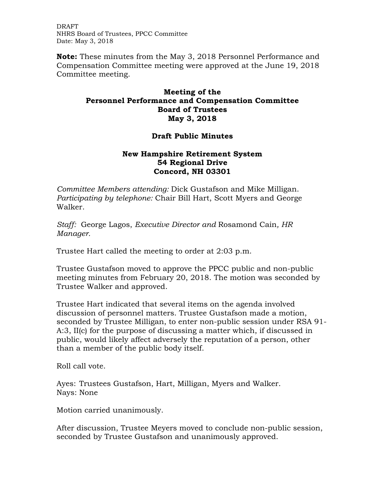DRAFT NHRS Board of Trustees, PPCC Committee Date: May 3, 2018

**Note:** These minutes from the May 3, 2018 Personnel Performance and Compensation Committee meeting were approved at the June 19, 2018 Committee meeting.

## **Meeting of the Personnel Performance and Compensation Committee Board of Trustees May 3, 2018**

## **Draft Public Minutes**

## **New Hampshire Retirement System 54 Regional Drive Concord, NH 03301**

*Committee Members attending:* Dick Gustafson and Mike Milligan. *Participating by telephone:* Chair Bill Hart, Scott Myers and George Walker.

*Staff:* George Lagos, *Executive Director and* Rosamond Cain*, HR Manager.* 

Trustee Hart called the meeting to order at 2:03 p.m.

Trustee Gustafson moved to approve the PPCC public and non-public meeting minutes from February 20, 2018. The motion was seconded by Trustee Walker and approved.

Trustee Hart indicated that several items on the agenda involved discussion of personnel matters. Trustee Gustafson made a motion, seconded by Trustee Milligan, to enter non-public session under RSA 91- A:3, II(c) for the purpose of discussing a matter which, if discussed in public, would likely affect adversely the reputation of a person, other than a member of the public body itself.

Roll call vote.

Ayes: Trustees Gustafson, Hart, Milligan, Myers and Walker. Nays: None

Motion carried unanimously.

After discussion, Trustee Meyers moved to conclude non-public session, seconded by Trustee Gustafson and unanimously approved.